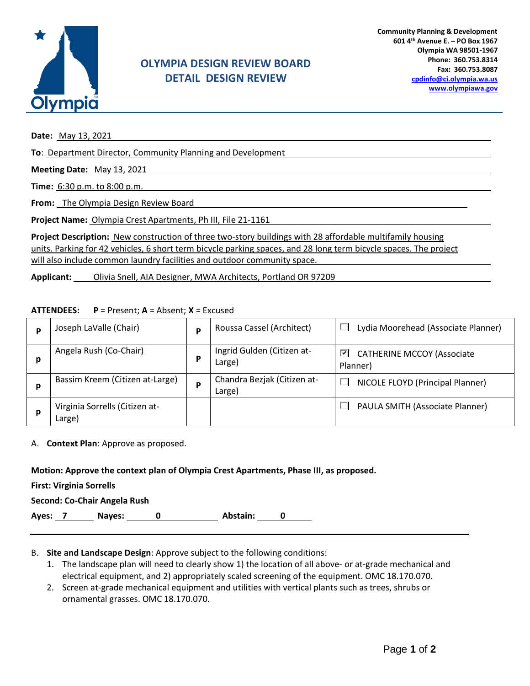

# **OLYMPIA DESIGN REVIEW BOARD DETAIL DESIGN REVIEW**

**Date:** May 13, 2021

**To**: Department Director, Community Planning and Development

**Meeting Date:** May 13, 2021

**Time:** 6:30 p.m. to 8:00 p.m.

**From:** The Olympia Design Review Board

**Project Name:** Olympia Crest Apartments, Ph III, File 21-1161

**Project Description:** New construction of three two-story buildings with 28 affordable multifamily housing units. Parking for 42 vehicles, 6 short term bicycle parking spaces, and 28 long term bicycle spaces. The project will also include common laundry facilities and outdoor community space.

**Applicant:** Olivia Snell, AIA Designer, MWA Architects, Portland OR 97209

#### **ATTENDEES: P** = Present; **A** = Absent; **X** = Excused

| D | Joseph LaValle (Chair)                   | P | Roussa Cassel (Architect)             | Lydia Moorehead (Associate Planner)                |
|---|------------------------------------------|---|---------------------------------------|----------------------------------------------------|
| р | Angela Rush (Co-Chair)                   | P | Ingrid Gulden (Citizen at-<br>Large)  | <b>CATHERINE MCCOY (Associate</b><br>⊽<br>Planner) |
| р | Bassim Kreem (Citizen at-Large)          | P | Chandra Bezjak (Citizen at-<br>Large) | NICOLE FLOYD (Principal Planner)                   |
| p | Virginia Sorrells (Citizen at-<br>Large) |   |                                       | PAULA SMITH (Associate Planner)                    |

A. **Context Plan**: Approve as proposed.

### **Motion: Approve the context plan of Olympia Crest Apartments, Phase III, as proposed.**

**First: Virginia Sorrells**

Ayes: 7 Nayes: 0 Abstain: 0

### B. **Site and Landscape Design**: Approve subject to the following conditions:

- 1. The landscape plan will need to clearly show 1) the location of all above- or at-grade mechanical and electrical equipment, and 2) appropriately scaled screening of the equipment. OMC 18.170.070.
- 2. Screen at-grade mechanical equipment and utilities with vertical plants such as trees, shrubs or ornamental grasses. OMC 18.170.070.